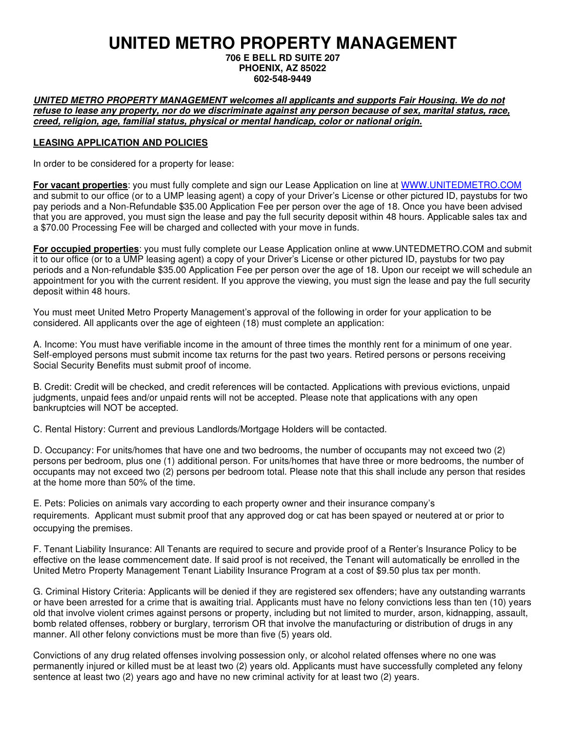# **UNITED METRO PROPERTY MANAGEMENT**

**706 E BELL RD SUITE 207 PHOENIX, AZ 85022 602-548-9449** 

**UNITED METRO PROPERTY MANAGEMENT welcomes all applicants and supports Fair Housing. We do not refuse to lease any property, nor do we discriminate against any person because of sex, marital status, race, creed, religion, age, familial status, physical or mental handicap, color or national origin.** 

#### **LEASING APPLICATION AND POLICIES**

In order to be considered for a property for lease:

**For vacant properties**: you must fully complete and sign our Lease Application on line at WWW.UNITEDMETRO.COM and submit to our office (or to a UMP leasing agent) a copy of your Driver's License or other pictured ID, paystubs for two pay periods and a Non-Refundable \$35.00 Application Fee per person over the age of 18. Once you have been advised that you are approved, you must sign the lease and pay the full security deposit within 48 hours. Applicable sales tax and a \$70.00 Processing Fee will be charged and collected with your move in funds.

**For occupied properties**: you must fully complete our Lease Application online at www.UNTEDMETRO.COM and submit it to our office (or to a UMP leasing agent) a copy of your Driver's License or other pictured ID, paystubs for two pay periods and a Non-refundable \$35.00 Application Fee per person over the age of 18. Upon our receipt we will schedule an appointment for you with the current resident. If you approve the viewing, you must sign the lease and pay the full security deposit within 48 hours.

You must meet United Metro Property Management's approval of the following in order for your application to be considered. All applicants over the age of eighteen (18) must complete an application:

A. Income: You must have verifiable income in the amount of three times the monthly rent for a minimum of one year. Self-employed persons must submit income tax returns for the past two years. Retired persons or persons receiving Social Security Benefits must submit proof of income.

B. Credit: Credit will be checked, and credit references will be contacted. Applications with previous evictions, unpaid judgments, unpaid fees and/or unpaid rents will not be accepted. Please note that applications with any open bankruptcies will NOT be accepted.

C. Rental History: Current and previous Landlords/Mortgage Holders will be contacted.

D. Occupancy: For units/homes that have one and two bedrooms, the number of occupants may not exceed two (2) persons per bedroom, plus one (1) additional person. For units/homes that have three or more bedrooms, the number of occupants may not exceed two (2) persons per bedroom total. Please note that this shall include any person that resides at the home more than 50% of the time.

E. Pets: Policies on animals vary according to each property owner and their insurance company's requirements. Applicant must submit proof that any approved dog or cat has been spayed or neutered at or prior to occupying the premises.

F. Tenant Liability Insurance: All Tenants are required to secure and provide proof of a Renter's Insurance Policy to be effective on the lease commencement date. If said proof is not received, the Tenant will automatically be enrolled in the United Metro Property Management Tenant Liability Insurance Program at a cost of \$9.50 plus tax per month.

G. Criminal History Criteria: Applicants will be denied if they are registered sex offenders; have any outstanding warrants or have been arrested for a crime that is awaiting trial. Applicants must have no felony convictions less than ten (10) years old that involve violent crimes against persons or property, including but not limited to murder, arson, kidnapping, assault, bomb related offenses, robbery or burglary, terrorism OR that involve the manufacturing or distribution of drugs in any manner. All other felony convictions must be more than five (5) years old.

Convictions of any drug related offenses involving possession only, or alcohol related offenses where no one was permanently injured or killed must be at least two (2) years old. Applicants must have successfully completed any felony sentence at least two (2) years ago and have no new criminal activity for at least two (2) years.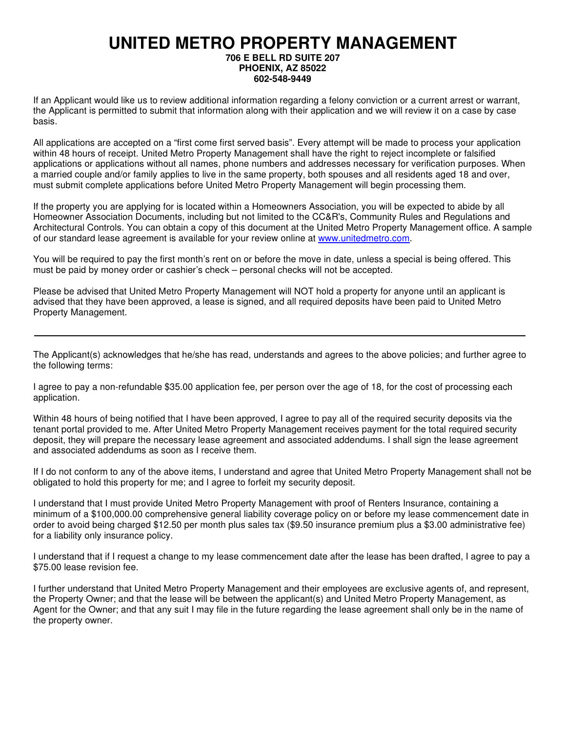# **UNITED METRO PROPERTY MANAGEMENT**

#### **706 E BELL RD SUITE 207 PHOENIX, AZ 85022 602-548-9449**

If an Applicant would like us to review additional information regarding a felony conviction or a current arrest or warrant, the Applicant is permitted to submit that information along with their application and we will review it on a case by case basis.

All applications are accepted on a "first come first served basis". Every attempt will be made to process your application within 48 hours of receipt. United Metro Property Management shall have the right to reject incomplete or falsified applications or applications without all names, phone numbers and addresses necessary for verification purposes. When a married couple and/or family applies to live in the same property, both spouses and all residents aged 18 and over, must submit complete applications before United Metro Property Management will begin processing them.

If the property you are applying for is located within a Homeowners Association, you will be expected to abide by all Homeowner Association Documents, including but not limited to the CC&R's, Community Rules and Regulations and Architectural Controls. You can obtain a copy of this document at the United Metro Property Management office. A sample of our standard lease agreement is available for your review online at www.unitedmetro.com.

You will be required to pay the first month's rent on or before the move in date, unless a special is being offered. This must be paid by money order or cashier's check – personal checks will not be accepted.

Please be advised that United Metro Property Management will NOT hold a property for anyone until an applicant is advised that they have been approved, a lease is signed, and all required deposits have been paid to United Metro Property Management.

The Applicant(s) acknowledges that he/she has read, understands and agrees to the above policies; and further agree to the following terms:

I agree to pay a non-refundable \$35.00 application fee, per person over the age of 18, for the cost of processing each application.

Within 48 hours of being notified that I have been approved, I agree to pay all of the required security deposits via the tenant portal provided to me. After United Metro Property Management receives payment for the total required security deposit, they will prepare the necessary lease agreement and associated addendums. I shall sign the lease agreement and associated addendums as soon as I receive them.

If I do not conform to any of the above items, I understand and agree that United Metro Property Management shall not be obligated to hold this property for me; and I agree to forfeit my security deposit.

I understand that I must provide United Metro Property Management with proof of Renters Insurance, containing a minimum of a \$100,000.00 comprehensive general liability coverage policy on or before my lease commencement date in order to avoid being charged \$12.50 per month plus sales tax (\$9.50 insurance premium plus a \$3.00 administrative fee) for a liability only insurance policy.

I understand that if I request a change to my lease commencement date after the lease has been drafted, I agree to pay a \$75.00 lease revision fee.

I further understand that United Metro Property Management and their employees are exclusive agents of, and represent, the Property Owner; and that the lease will be between the applicant(s) and United Metro Property Management, as Agent for the Owner; and that any suit I may file in the future regarding the lease agreement shall only be in the name of the property owner.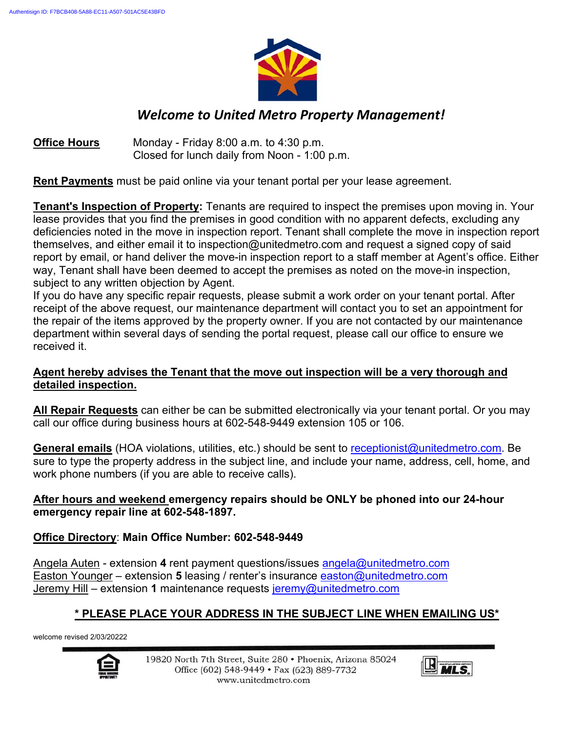

## *Welcome to United Metro Property Management!*

### **Office Hours** Monday - Friday 8:00 a.m. to 4:30 p.m. Closed for lunch daily from Noon - 1:00 p.m.

**Rent Payments** must be paid online via your tenant portal per your lease agreement.

**Tenant's Inspection of Property:** Tenants are required to inspect the premises upon moving in. Your lease provides that you find the premises in good condition with no apparent defects, excluding any deficiencies noted in the move in inspection report. Tenant shall complete the move in inspection report themselves, and either email it to inspection@unitedmetro.com and request a signed copy of said report by email, or hand deliver the move-in inspection report to a staff member at Agent's office. Either way, Tenant shall have been deemed to accept the premises as noted on the move-in inspection, subject to any written objection by Agent.

If you do have any specific repair requests, please submit a work order on your tenant portal. After receipt of the above request, our maintenance department will contact you to set an appointment for the repair of the items approved by the property owner. If you are not contacted by our maintenance department within several days of sending the portal request, please call our office to ensure we received it.

### **Agent hereby advises the Tenant that the move out inspection will be a very thorough and detailed inspection.**

**All Repair Requests** can either be can be submitted electronically via your tenant portal. Or you may call our office during business hours at 602-548-9449 extension 105 or 106.

**General emails** (HOA violations, utilities, etc.) should be sent to receptionist@unitedmetro.com. Be sure to type the property address in the subject line, and include your name, address, cell, home, and work phone numbers (if you are able to receive calls).

### **After hours and weekend emergency repairs should be ONLY be phoned into our 24-hour emergency repair line at 602-548-1897.**

### **Office Directory**: **Main Office Number: 602-548-9449**

Angela Auten - extension **4** rent payment questions/issues angela@unitedmetro.com Easton Younger – extension **5** leasing / renter's insurance easton@unitedmetro.com Jeremy Hill – extension **1** maintenance requests jeremy@unitedmetro.com

### **\* PLEASE PLACE YOUR ADDRESS IN THE SUBJECT LINE WHEN EMAILING US\***

welcome revised 2/03/20222



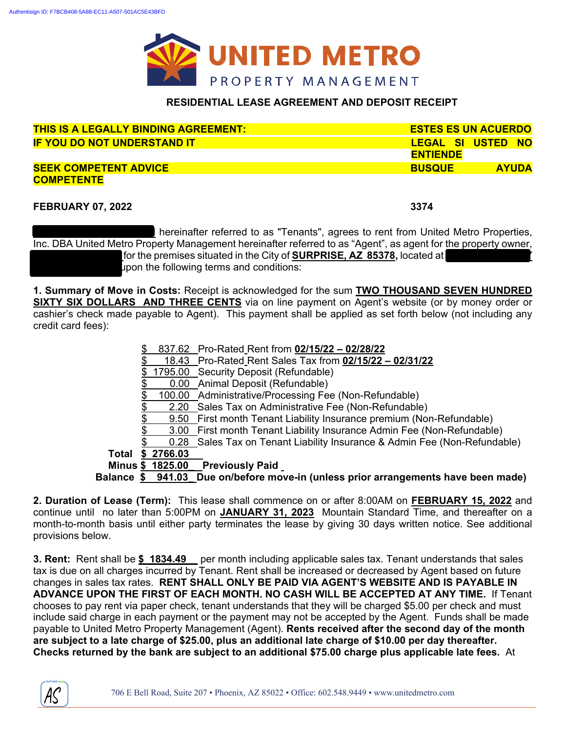

#### **RESIDENTIAL LEASE AGREEMENT AND DEPOSIT RECEIPT**

| <u>THIS IS A LEGALLY BINDING AGREEMENT:</u> | <b>ESTES ES UN ACUERDO</b>    |  |
|---------------------------------------------|-------------------------------|--|
| <b>IF YOU DO NOT UNDERSTAND IT</b>          | LEGAL SI USTED NO             |  |
|                                             | <b>ENTIENDE</b>               |  |
| <b>SEEK COMPETENT ADVICE</b>                | <b>BUSQUE</b><br><b>AYUDA</b> |  |
| <b>COMPETENTE</b>                           |                               |  |

**FEBRUARY 07, 2022 3374** 

**hereinafter referred to as "Tenants", agrees to rent from United Metro Properties,** Inc. DBA United Metro Property Management hereinafter referred to as "Agent", as agent for the property owner, **Paul Anderson issues situated in the City of SURPRISE, AZ 85378, located at**  $\blacksquare$ **CHANTIL DRIVE\_** upon the following terms and conditions:

**1. Summary of Move in Costs:** Receipt is acknowledged for the sum **TWO THOUSAND SEVEN HUNDRED SIXTY SIX DOLLARS AND THREE CENTS** via on line payment on Agent's website (or by money order or cashier's check made payable to Agent). This payment shall be applied as set forth below (not including any credit card fees):

|       |           | 837.62 Pro-Rated Rent from 02/15/22 - 02/28/22                                     |
|-------|-----------|------------------------------------------------------------------------------------|
|       |           | 18.43 Pro-Rated_Rent Sales Tax from 02/15/22 - 02/31/22                            |
|       |           | 1795.00 Security Deposit (Refundable)                                              |
|       |           | 0.00 Animal Deposit (Refundable)                                                   |
|       |           | 100.00 Administrative/Processing Fee (Non-Refundable)                              |
|       |           | 2.20 Sales Tax on Administrative Fee (Non-Refundable)                              |
|       |           | 9.50 First month Tenant Liability Insurance premium (Non-Refundable)               |
|       |           | 3.00 First month Tenant Liability Insurance Admin Fee (Non-Refundable)             |
|       |           | 0.28 Sales Tax on Tenant Liability Insurance & Admin Fee (Non-Refundable)          |
| Total | \$2766.03 |                                                                                    |
|       |           | Minus \$ 1825.00 Previously Paid                                                   |
|       |           | Balance \$ 941.03 Due on/before move-in (unless prior arrangements have been made) |

**2. Duration of Lease (Term):** This lease shall commence on or after 8:00AM on **FEBRUARY 15, 2022** and continue until no later than 5:00PM on **JANUARY 31, 2023** Mountain Standard Time, and thereafter on a month-to-month basis until either party terminates the lease by giving 30 days written notice. See additional provisions below.

**3. Rent:** Rent shall be **\$\_1834.49\_\_** per month including applicable sales tax. Tenant understands that sales tax is due on all charges incurred by Tenant. Rent shall be increased or decreased by Agent based on future changes in sales tax rates. **RENT SHALL ONLY BE PAID VIA AGENT'S WEBSITE AND IS PAYABLE IN ADVANCE UPON THE FIRST OF EACH MONTH. NO CASH WILL BE ACCEPTED AT ANY TIME.** If Tenant chooses to pay rent via paper check, tenant understands that they will be charged \$5.00 per check and must include said charge in each payment or the payment may not be accepted by the Agent. Funds shall be made payable to United Metro Property Management (Agent). **Rents received after the second day of the month are subject to a late charge of \$25.00, plus an additional late charge of \$10.00 per day thereafter. Checks returned by the bank are subject to an additional \$75.00 charge plus applicable late fees.** At

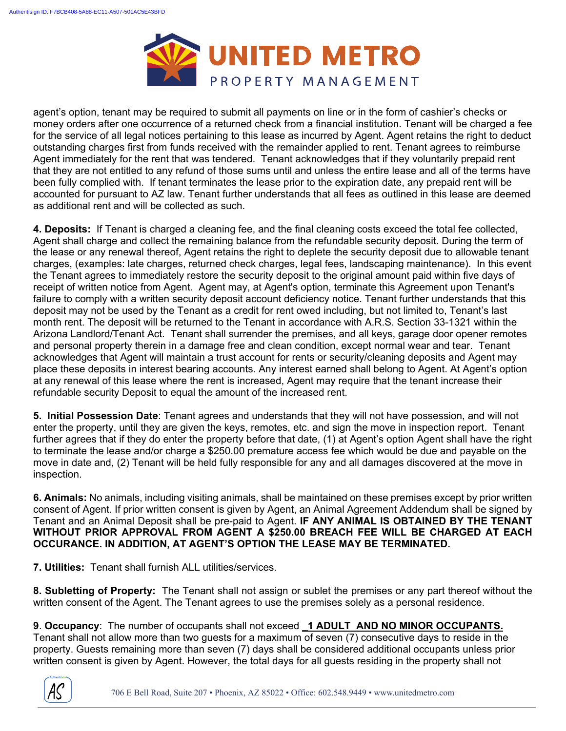

agent's option, tenant may be required to submit all payments on line or in the form of cashier's checks or money orders after one occurrence of a returned check from a financial institution. Tenant will be charged a fee for the service of all legal notices pertaining to this lease as incurred by Agent. Agent retains the right to deduct outstanding charges first from funds received with the remainder applied to rent. Tenant agrees to reimburse Agent immediately for the rent that was tendered. Tenant acknowledges that if they voluntarily prepaid rent that they are not entitled to any refund of those sums until and unless the entire lease and all of the terms have been fully complied with. If tenant terminates the lease prior to the expiration date, any prepaid rent will be accounted for pursuant to AZ law. Tenant further understands that all fees as outlined in this lease are deemed as additional rent and will be collected as such.

**4. Deposits:** If Tenant is charged a cleaning fee, and the final cleaning costs exceed the total fee collected, Agent shall charge and collect the remaining balance from the refundable security deposit. During the term of the lease or any renewal thereof, Agent retains the right to deplete the security deposit due to allowable tenant charges, (examples: late charges, returned check charges, legal fees, landscaping maintenance). In this event the Tenant agrees to immediately restore the security deposit to the original amount paid within five days of receipt of written notice from Agent. Agent may, at Agent's option, terminate this Agreement upon Tenant's failure to comply with a written security deposit account deficiency notice. Tenant further understands that this deposit may not be used by the Tenant as a credit for rent owed including, but not limited to, Tenant's last month rent. The deposit will be returned to the Tenant in accordance with A.R.S. Section 33-1321 within the Arizona Landlord/Tenant Act. Tenant shall surrender the premises, and all keys, garage door opener remotes and personal property therein in a damage free and clean condition, except normal wear and tear. Tenant acknowledges that Agent will maintain a trust account for rents or security/cleaning deposits and Agent may place these deposits in interest bearing accounts. Any interest earned shall belong to Agent. At Agent's option at any renewal of this lease where the rent is increased, Agent may require that the tenant increase their refundable security Deposit to equal the amount of the increased rent.

**5. Initial Possession Date**: Tenant agrees and understands that they will not have possession, and will not enter the property, until they are given the keys, remotes, etc. and sign the move in inspection report. Tenant further agrees that if they do enter the property before that date, (1) at Agent's option Agent shall have the right to terminate the lease and/or charge a \$250.00 premature access fee which would be due and payable on the move in date and, (2) Tenant will be held fully responsible for any and all damages discovered at the move in inspection.

**6. Animals:** No animals, including visiting animals, shall be maintained on these premises except by prior written consent of Agent. If prior written consent is given by Agent, an Animal Agreement Addendum shall be signed by Tenant and an Animal Deposit shall be pre-paid to Agent. **IF ANY ANIMAL IS OBTAINED BY THE TENANT WITHOUT PRIOR APPROVAL FROM AGENT A \$250.00 BREACH FEE WILL BE CHARGED AT EACH OCCURANCE. IN ADDITION, AT AGENT'S OPTION THE LEASE MAY BE TERMINATED.** 

**7. Utilities:** Tenant shall furnish ALL utilities/services.

**8. Subletting of Property:** The Tenant shall not assign or sublet the premises or any part thereof without the written consent of the Agent. The Tenant agrees to use the premises solely as a personal residence.

**9**. **Occupancy**: The number of occupants shall not exceed **\_1 ADULT AND NO MINOR OCCUPANTS.**  Tenant shall not allow more than two guests for a maximum of seven (7) consecutive days to reside in the property. Guests remaining more than seven (7) days shall be considered additional occupants unless prior written consent is given by Agent. However, the total days for all guests residing in the property shall not

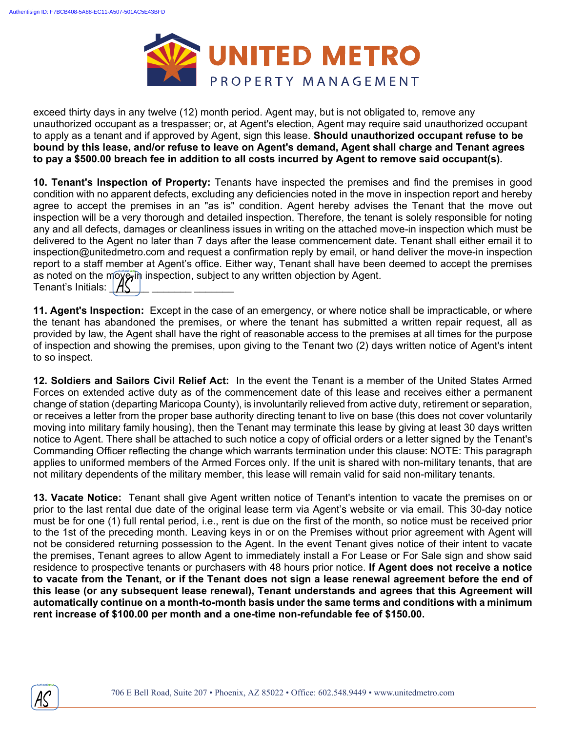

exceed thirty days in any twelve (12) month period. Agent may, but is not obligated to, remove any unauthorized occupant as a trespasser; or, at Agent's election, Agent may require said unauthorized occupant to apply as a tenant and if approved by Agent, sign this lease. **Should unauthorized occupant refuse to be bound by this lease, and/or refuse to leave on Agent's demand, Agent shall charge and Tenant agrees to pay a \$500.00 breach fee in addition to all costs incurred by Agent to remove said occupant(s).**

**10. Tenant's Inspection of Property:** Tenants have inspected the premises and find the premises in good condition with no apparent defects, excluding any deficiencies noted in the move in inspection report and hereby agree to accept the premises in an "as is" condition. Agent hereby advises the Tenant that the move out inspection will be a very thorough and detailed inspection. Therefore, the tenant is solely responsible for noting any and all defects, damages or cleanliness issues in writing on the attached move-in inspection which must be delivered to the Agent no later than 7 days after the lease commencement date. Tenant shall either email it to inspection@unitedmetro.com and request a confirmation reply by email, or hand deliver the move-in inspection report to a staff member at Agent's office. Either way, Tenant shall have been deemed to accept the premises as noted on the moy ain inspection, subject to any written objection by Agent. Tenant's Initials:  $\mathcal{A}$ 

**11. Agent's Inspection:** Except in the case of an emergency, or where notice shall be impracticable, or where the tenant has abandoned the premises, or where the tenant has submitted a written repair request, all as provided by law, the Agent shall have the right of reasonable access to the premises at all times for the purpose of inspection and showing the premises, upon giving to the Tenant two (2) days written notice of Agent's intent to so inspect.

**12. Soldiers and Sailors Civil Relief Act:** In the event the Tenant is a member of the United States Armed Forces on extended active duty as of the commencement date of this lease and receives either a permanent change of station (departing Maricopa County), is involuntarily relieved from active duty, retirement or separation, or receives a letter from the proper base authority directing tenant to live on base (this does not cover voluntarily moving into military family housing), then the Tenant may terminate this lease by giving at least 30 days written notice to Agent. There shall be attached to such notice a copy of official orders or a letter signed by the Tenant's Commanding Officer reflecting the change which warrants termination under this clause: NOTE: This paragraph applies to uniformed members of the Armed Forces only. If the unit is shared with non-military tenants, that are not military dependents of the military member, this lease will remain valid for said non-military tenants.

**13. Vacate Notice:** Tenant shall give Agent written notice of Tenant's intention to vacate the premises on or prior to the last rental due date of the original lease term via Agent's website or via email. This 30-day notice must be for one (1) full rental period, i.e., rent is due on the first of the month, so notice must be received prior to the 1st of the preceding month. Leaving keys in or on the Premises without prior agreement with Agent will not be considered returning possession to the Agent. In the event Tenant gives notice of their intent to vacate the premises, Tenant agrees to allow Agent to immediately install a For Lease or For Sale sign and show said residence to prospective tenants or purchasers with 48 hours prior notice. **If Agent does not receive a notice to vacate from the Tenant, or if the Tenant does not sign a lease renewal agreement before the end of this lease (or any subsequent lease renewal), Tenant understands and agrees that this Agreement will automatically continue on a month-to-month basis under the same terms and conditions with a minimum rent increase of \$100.00 per month and a one-time non-refundable fee of \$150.00.** 

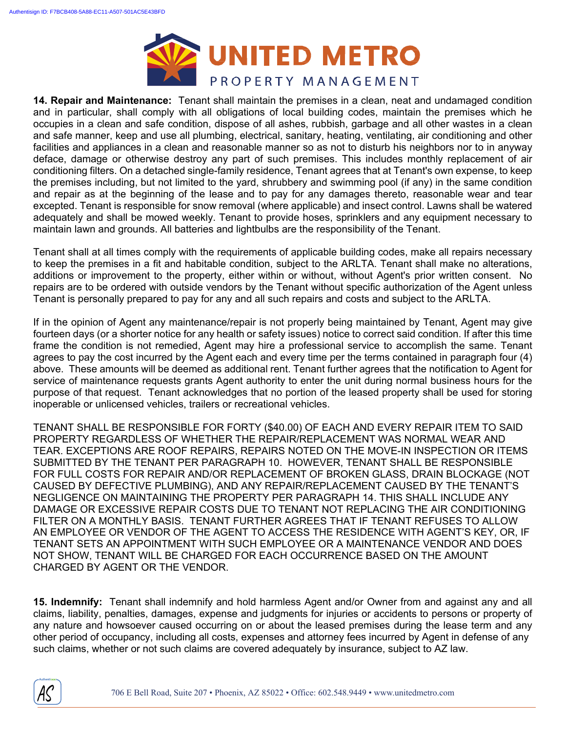

**14. Repair and Maintenance:** Tenant shall maintain the premises in a clean, neat and undamaged condition and in particular, shall comply with all obligations of local building codes, maintain the premises which he occupies in a clean and safe condition, dispose of all ashes, rubbish, garbage and all other wastes in a clean and safe manner, keep and use all plumbing, electrical, sanitary, heating, ventilating, air conditioning and other facilities and appliances in a clean and reasonable manner so as not to disturb his neighbors nor to in anyway deface, damage or otherwise destroy any part of such premises. This includes monthly replacement of air conditioning filters. On a detached single-family residence, Tenant agrees that at Tenant's own expense, to keep the premises including, but not limited to the yard, shrubbery and swimming pool (if any) in the same condition and repair as at the beginning of the lease and to pay for any damages thereto, reasonable wear and tear excepted. Tenant is responsible for snow removal (where applicable) and insect control. Lawns shall be watered adequately and shall be mowed weekly. Tenant to provide hoses, sprinklers and any equipment necessary to maintain lawn and grounds. All batteries and lightbulbs are the responsibility of the Tenant.

Tenant shall at all times comply with the requirements of applicable building codes, make all repairs necessary to keep the premises in a fit and habitable condition, subject to the ARLTA. Tenant shall make no alterations, additions or improvement to the property, either within or without, without Agent's prior written consent. No repairs are to be ordered with outside vendors by the Tenant without specific authorization of the Agent unless Tenant is personally prepared to pay for any and all such repairs and costs and subject to the ARLTA.

If in the opinion of Agent any maintenance/repair is not properly being maintained by Tenant, Agent may give fourteen days (or a shorter notice for any health or safety issues) notice to correct said condition. If after this time frame the condition is not remedied, Agent may hire a professional service to accomplish the same. Tenant agrees to pay the cost incurred by the Agent each and every time per the terms contained in paragraph four (4) above. These amounts will be deemed as additional rent. Tenant further agrees that the notification to Agent for service of maintenance requests grants Agent authority to enter the unit during normal business hours for the purpose of that request. Tenant acknowledges that no portion of the leased property shall be used for storing inoperable or unlicensed vehicles, trailers or recreational vehicles.

TENANT SHALL BE RESPONSIBLE FOR FORTY (\$40.00) OF EACH AND EVERY REPAIR ITEM TO SAID PROPERTY REGARDLESS OF WHETHER THE REPAIR/REPLACEMENT WAS NORMAL WEAR AND TEAR. EXCEPTIONS ARE ROOF REPAIRS, REPAIRS NOTED ON THE MOVE-IN INSPECTION OR ITEMS SUBMITTED BY THE TENANT PER PARAGRAPH 10. HOWEVER, TENANT SHALL BE RESPONSIBLE FOR FULL COSTS FOR REPAIR AND/OR REPLACEMENT OF BROKEN GLASS, DRAIN BLOCKAGE (NOT CAUSED BY DEFECTIVE PLUMBING), AND ANY REPAIR/REPLACEMENT CAUSED BY THE TENANT'S NEGLIGENCE ON MAINTAINING THE PROPERTY PER PARAGRAPH 14. THIS SHALL INCLUDE ANY DAMAGE OR EXCESSIVE REPAIR COSTS DUE TO TENANT NOT REPLACING THE AIR CONDITIONING FILTER ON A MONTHLY BASIS. TENANT FURTHER AGREES THAT IF TENANT REFUSES TO ALLOW AN EMPLOYEE OR VENDOR OF THE AGENT TO ACCESS THE RESIDENCE WITH AGENT'S KEY, OR, IF TENANT SETS AN APPOINTMENT WITH SUCH EMPLOYEE OR A MAINTENANCE VENDOR AND DOES NOT SHOW, TENANT WILL BE CHARGED FOR EACH OCCURRENCE BASED ON THE AMOUNT CHARGED BY AGENT OR THE VENDOR.

**15. Indemnify:** Tenant shall indemnify and hold harmless Agent and/or Owner from and against any and all claims, liability, penalties, damages, expense and judgments for injuries or accidents to persons or property of any nature and howsoever caused occurring on or about the leased premises during the lease term and any other period of occupancy, including all costs, expenses and attorney fees incurred by Agent in defense of any such claims, whether or not such claims are covered adequately by insurance, subject to AZ law.

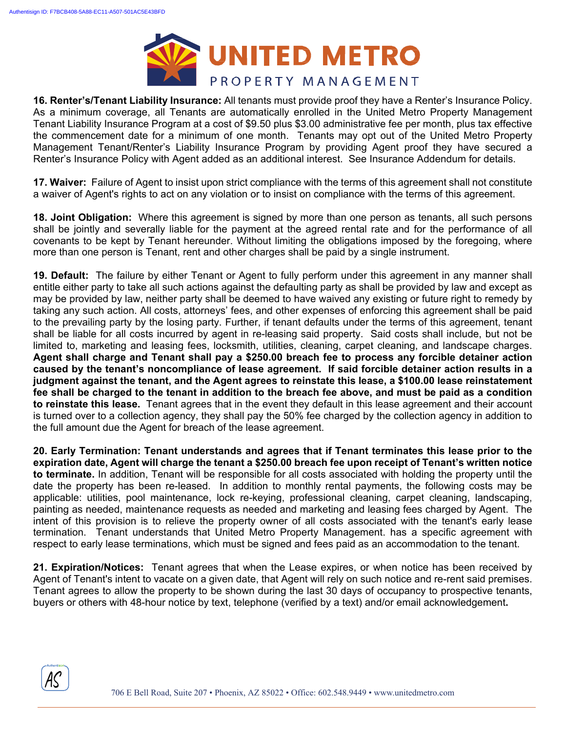

**16. Renter's/Tenant Liability Insurance:** All tenants must provide proof they have a Renter's Insurance Policy. As a minimum coverage, all Tenants are automatically enrolled in the United Metro Property Management Tenant Liability Insurance Program at a cost of \$9.50 plus \$3.00 administrative fee per month, plus tax effective the commencement date for a minimum of one month. Tenants may opt out of the United Metro Property Management Tenant/Renter's Liability Insurance Program by providing Agent proof they have secured a Renter's Insurance Policy with Agent added as an additional interest. See Insurance Addendum for details.

**17. Waiver:** Failure of Agent to insist upon strict compliance with the terms of this agreement shall not constitute a waiver of Agent's rights to act on any violation or to insist on compliance with the terms of this agreement.

**18. Joint Obligation:** Where this agreement is signed by more than one person as tenants, all such persons shall be jointly and severally liable for the payment at the agreed rental rate and for the performance of all covenants to be kept by Tenant hereunder. Without limiting the obligations imposed by the foregoing, where more than one person is Tenant, rent and other charges shall be paid by a single instrument.

**19. Default:** The failure by either Tenant or Agent to fully perform under this agreement in any manner shall entitle either party to take all such actions against the defaulting party as shall be provided by law and except as may be provided by law, neither party shall be deemed to have waived any existing or future right to remedy by taking any such action. All costs, attorneys' fees, and other expenses of enforcing this agreement shall be paid to the prevailing party by the losing party. Further, if tenant defaults under the terms of this agreement, tenant shall be liable for all costs incurred by agent in re-leasing said property. Said costs shall include, but not be limited to, marketing and leasing fees, locksmith, utilities, cleaning, carpet cleaning, and landscape charges. **Agent shall charge and Tenant shall pay a \$250.00 breach fee to process any forcible detainer action caused by the tenant's noncompliance of lease agreement. If said forcible detainer action results in a judgment against the tenant, and the Agent agrees to reinstate this lease, a \$100.00 lease reinstatement fee shall be charged to the tenant in addition to the breach fee above, and must be paid as a condition to reinstate this lease.** Tenant agrees that in the event they default in this lease agreement and their account is turned over to a collection agency, they shall pay the 50% fee charged by the collection agency in addition to the full amount due the Agent for breach of the lease agreement.

**20. Early Termination: Tenant understands and agrees that if Tenant terminates this lease prior to the expiration date, Agent will charge the tenant a \$250.00 breach fee upon receipt of Tenant's written notice to terminate.** In addition, Tenant will be responsible for all costs associated with holding the property until the date the property has been re-leased. In addition to monthly rental payments, the following costs may be applicable: utilities, pool maintenance, lock re-keying, professional cleaning, carpet cleaning, landscaping, painting as needed, maintenance requests as needed and marketing and leasing fees charged by Agent. The intent of this provision is to relieve the property owner of all costs associated with the tenant's early lease termination. Tenant understands that United Metro Property Management. has a specific agreement with respect to early lease terminations, which must be signed and fees paid as an accommodation to the tenant.

**21. Expiration/Notices:** Tenant agrees that when the Lease expires, or when notice has been received by Agent of Tenant's intent to vacate on a given date, that Agent will rely on such notice and re-rent said premises. Tenant agrees to allow the property to be shown during the last 30 days of occupancy to prospective tenants, buyers or others with 48-hour notice by text, telephone (verified by a text) and/or email acknowledgement**.** 

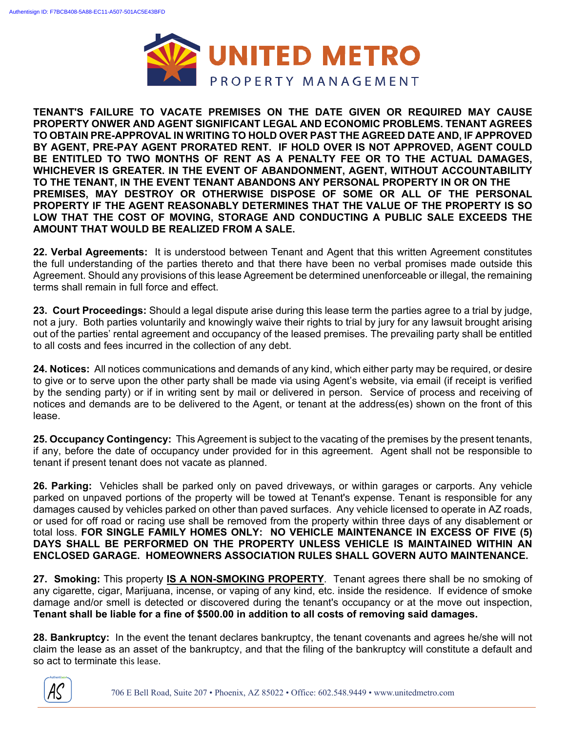

**TENANT'S FAILURE TO VACATE PREMISES ON THE DATE GIVEN OR REQUIRED MAY CAUSE PROPERTY ONWER AND AGENT SIGNIFICANT LEGAL AND ECONOMIC PROBLEMS. TENANT AGREES TO OBTAIN PRE-APPROVAL IN WRITING TO HOLD OVER PAST THE AGREED DATE AND, IF APPROVED BY AGENT, PRE-PAY AGENT PRORATED RENT. IF HOLD OVER IS NOT APPROVED, AGENT COULD BE ENTITLED TO TWO MONTHS OF RENT AS A PENALTY FEE OR TO THE ACTUAL DAMAGES, WHICHEVER IS GREATER. IN THE EVENT OF ABANDONMENT, AGENT, WITHOUT ACCOUNTABILITY TO THE TENANT, IN THE EVENT TENANT ABANDONS ANY PERSONAL PROPERTY IN OR ON THE PREMISES, MAY DESTROY OR OTHERWISE DISPOSE OF SOME OR ALL OF THE PERSONAL PROPERTY IF THE AGENT REASONABLY DETERMINES THAT THE VALUE OF THE PROPERTY IS SO LOW THAT THE COST OF MOVING, STORAGE AND CONDUCTING A PUBLIC SALE EXCEEDS THE AMOUNT THAT WOULD BE REALIZED FROM A SALE.** 

**22. Verbal Agreements:** It is understood between Tenant and Agent that this written Agreement constitutes the full understanding of the parties thereto and that there have been no verbal promises made outside this Agreement. Should any provisions of this lease Agreement be determined unenforceable or illegal, the remaining terms shall remain in full force and effect.

**23. Court Proceedings:** Should a legal dispute arise during this lease term the parties agree to a trial by judge, not a jury. Both parties voluntarily and knowingly waive their rights to trial by jury for any lawsuit brought arising out of the parties' rental agreement and occupancy of the leased premises. The prevailing party shall be entitled to all costs and fees incurred in the collection of any debt.

**24. Notices:** All notices communications and demands of any kind, which either party may be required, or desire to give or to serve upon the other party shall be made via using Agent's website, via email (if receipt is verified by the sending party) or if in writing sent by mail or delivered in person. Service of process and receiving of notices and demands are to be delivered to the Agent, or tenant at the address(es) shown on the front of this lease.

**25. Occupancy Contingency:** This Agreement is subject to the vacating of the premises by the present tenants, if any, before the date of occupancy under provided for in this agreement. Agent shall not be responsible to tenant if present tenant does not vacate as planned.

**26. Parking:** Vehicles shall be parked only on paved driveways, or within garages or carports. Any vehicle parked on unpaved portions of the property will be towed at Tenant's expense. Tenant is responsible for any damages caused by vehicles parked on other than paved surfaces. Any vehicle licensed to operate in AZ roads, or used for off road or racing use shall be removed from the property within three days of any disablement or total loss. **FOR SINGLE FAMILY HOMES ONLY: NO VEHICLE MAINTENANCE IN EXCESS OF FIVE (5) DAYS SHALL BE PERFORMED ON THE PROPERTY UNLESS VEHICLE IS MAINTAINED WITHIN AN ENCLOSED GARAGE. HOMEOWNERS ASSOCIATION RULES SHALL GOVERN AUTO MAINTENANCE.** 

**27. Smoking:** This property **IS A NON-SMOKING PROPERTY**. Tenant agrees there shall be no smoking of any cigarette, cigar, Marijuana, incense, or vaping of any kind, etc. inside the residence. If evidence of smoke damage and/or smell is detected or discovered during the tenant's occupancy or at the move out inspection, **Tenant shall be liable for a fine of \$500.00 in addition to all costs of removing said damages.** 

**28. Bankruptcy:** In the event the tenant declares bankruptcy, the tenant covenants and agrees he/she will not claim the lease as an asset of the bankruptcy, and that the filing of the bankruptcy will constitute a default and so act to terminate this lease.

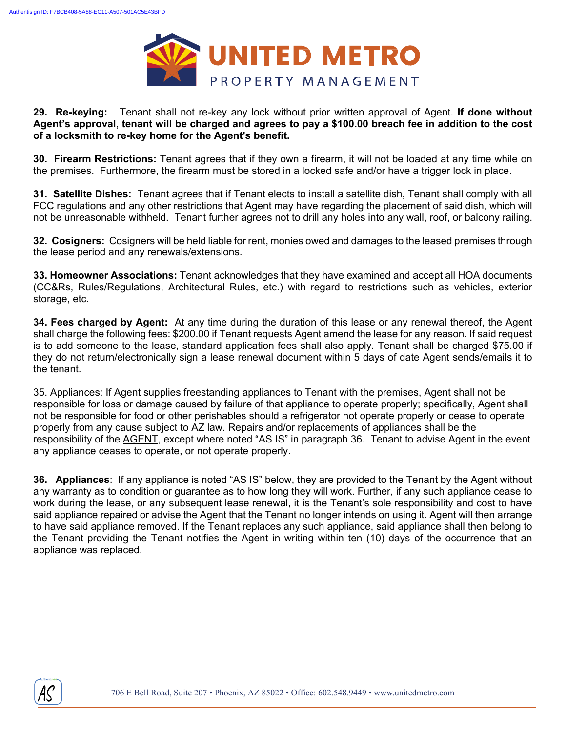

#### **29. Re-keying:** Tenant shall not re-key any lock without prior written approval of Agent. **If done without Agent's approval, tenant will be charged and agrees to pay a \$100.00 breach fee in addition to the cost of a locksmith to re-key home for the Agent's benefit.**

**30. Firearm Restrictions:** Tenant agrees that if they own a firearm, it will not be loaded at any time while on the premises. Furthermore, the firearm must be stored in a locked safe and/or have a trigger lock in place.

**31. Satellite Dishes:** Tenant agrees that if Tenant elects to install a satellite dish, Tenant shall comply with all FCC regulations and any other restrictions that Agent may have regarding the placement of said dish, which will not be unreasonable withheld. Tenant further agrees not to drill any holes into any wall, roof, or balcony railing.

**32. Cosigners:** Cosigners will be held liable for rent, monies owed and damages to the leased premises through the lease period and any renewals/extensions.

**33. Homeowner Associations:** Tenant acknowledges that they have examined and accept all HOA documents (CC&Rs, Rules/Regulations, Architectural Rules, etc.) with regard to restrictions such as vehicles, exterior storage, etc.

**34. Fees charged by Agent:** At any time during the duration of this lease or any renewal thereof, the Agent shall charge the following fees: \$200.00 if Tenant requests Agent amend the lease for any reason. If said request is to add someone to the lease, standard application fees shall also apply. Tenant shall be charged \$75.00 if they do not return/electronically sign a lease renewal document within 5 days of date Agent sends/emails it to the tenant.

35. Appliances: If Agent supplies freestanding appliances to Tenant with the premises, Agent shall not be responsible for loss or damage caused by failure of that appliance to operate properly; specifically, Agent shall not be responsible for food or other perishables should a refrigerator not operate properly or cease to operate properly from any cause subject to AZ law. Repairs and/or replacements of appliances shall be the responsibility of the AGENT, except where noted "AS IS" in paragraph 36. Tenant to advise Agent in the event any appliance ceases to operate, or not operate properly.

**36. Appliances**: If any appliance is noted "AS IS" below, they are provided to the Tenant by the Agent without any warranty as to condition or guarantee as to how long they will work. Further, if any such appliance cease to work during the lease, or any subsequent lease renewal, it is the Tenant's sole responsibility and cost to have said appliance repaired or advise the Agent that the Tenant no longer intends on using it. Agent will then arrange to have said appliance removed. If the Tenant replaces any such appliance, said appliance shall then belong to the Tenant providing the Tenant notifies the Agent in writing within ten (10) days of the occurrence that an appliance was replaced.

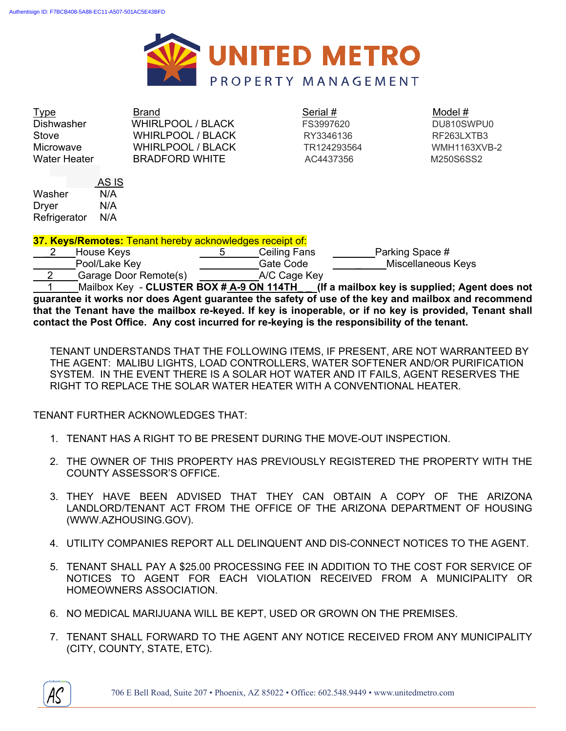

 $\frac{1}{2}$  Type  $\frac{1}{2}$   $\frac{1}{2}$   $\frac{1}{2}$   $\frac{1}{2}$   $\frac{1}{2}$   $\frac{1}{2}$   $\frac{1}{2}$   $\frac{1}{2}$   $\frac{1}{2}$   $\frac{1}{2}$   $\frac{1}{2}$   $\frac{1}{2}$   $\frac{1}{2}$   $\frac{1}{2}$   $\frac{1}{2}$   $\frac{1}{2}$   $\frac{1}{2}$   $\frac{1}{2}$   $\frac{1}{2}$   $\frac{1}{2}$   $\frac{1}{$ Dishwasher WHIRLPOOL / BLACK FS3997620 DU810SWPU0 Stove WHIRLPOOL / BLACK RY3346136 RF263LXTB3 Microwave WHIRLPOOL / BLACK TR124293564 WMH1163XVB-2 Water Heater **BRADFORD WHITE 6 AC4437356** M250S6SS2

 AS IS Washer N/A Dryer N/A Refrigerator N/A

**37. Keys/Remotes:** Tenant hereby acknowledges receipt of:

2 House Keys 5 Ceiling Fans Parking Space # Pool/Lake Key **Gate Code** Miscellaneous Keys 2 Garage Door Remote(s) A/C Cage Key

 1 Mailbox Key - **CLUSTER BOX # A-9 ON 114TH\_ \_ (If a mailbox key is supplied; Agent does not guarantee it works nor does Agent guarantee the safety of use of the key and mailbox and recommend that the Tenant have the mailbox re-keyed. If key is inoperable, or if no key is provided, Tenant shall contact the Post Office. Any cost incurred for re-keying is the responsibility of the tenant.** 

TENANT UNDERSTANDS THAT THE FOLLOWING ITEMS, IF PRESENT, ARE NOT WARRANTEED BY THE AGENT: MALIBU LIGHTS, LOAD CONTROLLERS, WATER SOFTENER AND/OR PURIFICATION SYSTEM. IN THE EVENT THERE IS A SOLAR HOT WATER AND IT FAILS, AGENT RESERVES THE RIGHT TO REPLACE THE SOLAR WATER HEATER WITH A CONVENTIONAL HEATER.

TENANT FURTHER ACKNOWLEDGES THAT:

- 1. TENANT HAS A RIGHT TO BE PRESENT DURING THE MOVE-OUT INSPECTION.
- 2. THE OWNER OF THIS PROPERTY HAS PREVIOUSLY REGISTERED THE PROPERTY WITH THE COUNTY ASSESSOR'S OFFICE.
- 3. THEY HAVE BEEN ADVISED THAT THEY CAN OBTAIN A COPY OF THE ARIZONA LANDLORD/TENANT ACT FROM THE OFFICE OF THE ARIZONA DEPARTMENT OF HOUSING (WWW.AZHOUSING.GOV).
- 4. UTILITY COMPANIES REPORT ALL DELINQUENT AND DIS-CONNECT NOTICES TO THE AGENT.
- 5. TENANT SHALL PAY A \$25.00 PROCESSING FEE IN ADDITION TO THE COST FOR SERVICE OF NOTICES TO AGENT FOR EACH VIOLATION RECEIVED FROM A MUNICIPALITY OR HOMEOWNERS ASSOCIATION.
- 6. NO MEDICAL MARIJUANA WILL BE KEPT, USED OR GROWN ON THE PREMISES.
- 7. TENANT SHALL FORWARD TO THE AGENT ANY NOTICE RECEIVED FROM ANY MUNICIPALITY (CITY, COUNTY, STATE, ETC).

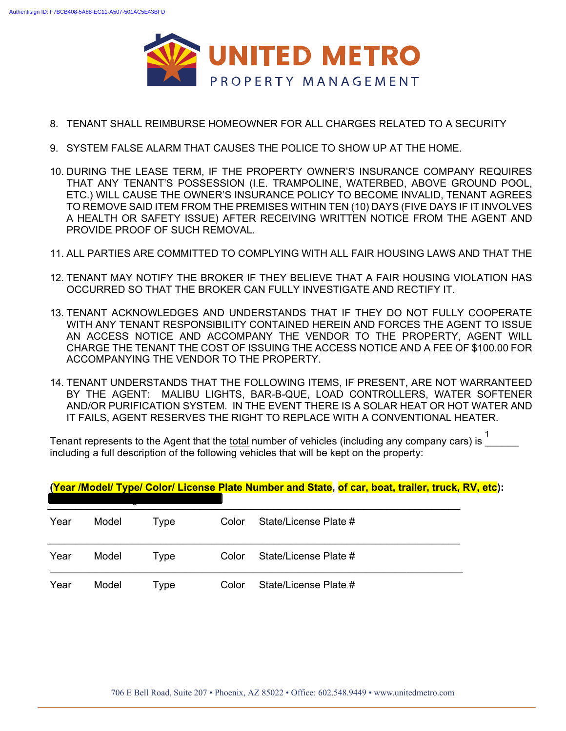

- 8. TENANT SHALL REIMBURSE HOMEOWNER FOR ALL CHARGES RELATED TO A SECURITY
- 9. SYSTEM FALSE ALARM THAT CAUSES THE POLICE TO SHOW UP AT THE HOME.
- 10. DURING THE LEASE TERM, IF THE PROPERTY OWNER'S INSURANCE COMPANY REQUIRES THAT ANY TENANT'S POSSESSION (I.E. TRAMPOLINE, WATERBED, ABOVE GROUND POOL, ETC.) WILL CAUSE THE OWNER'S INSURANCE POLICY TO BECOME INVALID, TENANT AGREES TO REMOVE SAID ITEM FROM THE PREMISES WITHIN TEN (10) DAYS (FIVE DAYS IF IT INVOLVES A HEALTH OR SAFETY ISSUE) AFTER RECEIVING WRITTEN NOTICE FROM THE AGENT AND PROVIDE PROOF OF SUCH REMOVAL.
- 11. ALL PARTIES ARE COMMITTED TO COMPLYING WITH ALL FAIR HOUSING LAWS AND THAT THE
- 12. TENANT MAY NOTIFY THE BROKER IF THEY BELIEVE THAT A FAIR HOUSING VIOLATION HAS OCCURRED SO THAT THE BROKER CAN FULLY INVESTIGATE AND RECTIFY IT.
- 13. TENANT ACKNOWLEDGES AND UNDERSTANDS THAT IF THEY DO NOT FULLY COOPERATE WITH ANY TENANT RESPONSIBILITY CONTAINED HEREIN AND FORCES THE AGENT TO ISSUE AN ACCESS NOTICE AND ACCOMPANY THE VENDOR TO THE PROPERTY, AGENT WILL CHARGE THE TENANT THE COST OF ISSUING THE ACCESS NOTICE AND A FEE OF \$100.00 FOR ACCOMPANYING THE VENDOR TO THE PROPERTY.
- 14. TENANT UNDERSTANDS THAT THE FOLLOWING ITEMS, IF PRESENT, ARE NOT WARRANTEED BY THE AGENT: MALIBU LIGHTS, BAR-B-QUE, LOAD CONTROLLERS, WATER SOFTENER AND/OR PURIFICATION SYSTEM. IN THE EVENT THERE IS A SOLAR HEAT OR HOT WATER AND IT FAILS, AGENT RESERVES THE RIGHT TO REPLACE WITH A CONVENTIONAL HEATER.

Tenant represents to the Agent that the total number of vehicles (including any company cars) is including a full description of the following vehicles that will be kept on the property:

**(Year /Model/ Type/ Color/ License Plate Number and State, of car, boat, trailer, truck, RV, etc):** 

| Year | Model | Type | Color | State/License Plate # |  |
|------|-------|------|-------|-----------------------|--|
| Year | Model | Type | Color | State/License Plate # |  |
| Year | Model | Type | Color | State/License Plate # |  |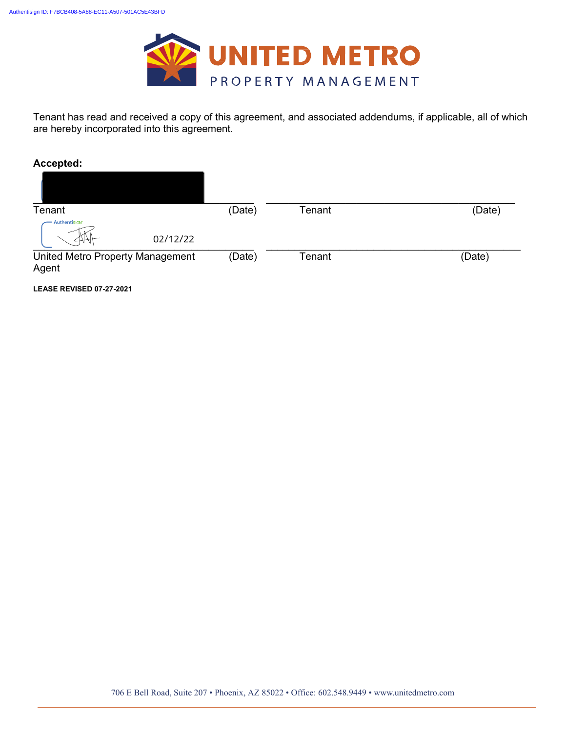

Tenant has read and received a copy of this agreement, and associated addendums, if applicable, all of which are hereby incorporated into this agreement.

**Accepted:**

| Tenant                                    | (Date) | Tenant | (Date) |
|-------------------------------------------|--------|--------|--------|
| Authentisign®<br>02/12/22                 |        |        |        |
| United Metro Property Management<br>Agent | (Date) | Tenant | (Date) |

**LEASE REVISED 07-27-2021**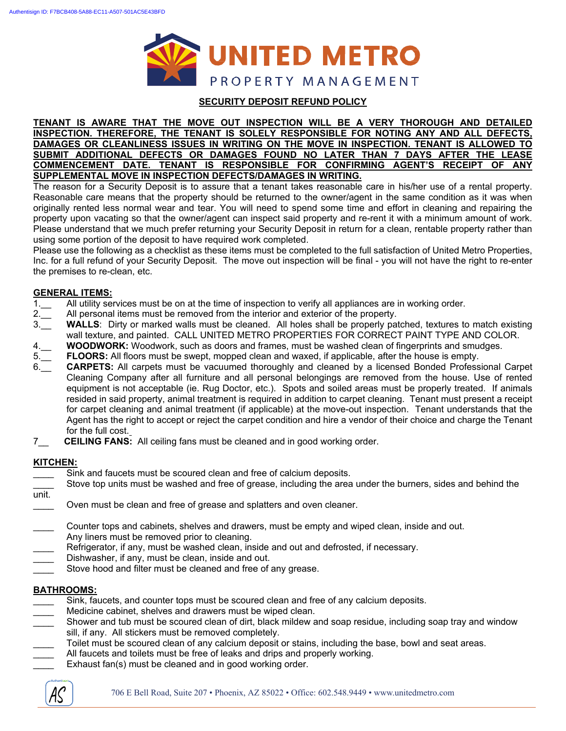

#### **SECURITY DEPOSIT REFUND POLICY**

#### **TENANT IS AWARE THAT THE MOVE OUT INSPECTION WILL BE A VERY THOROUGH AND DETAILED INSPECTION. THEREFORE, THE TENANT IS SOLELY RESPONSIBLE FOR NOTING ANY AND ALL DEFECTS, DAMAGES OR CLEANLINESS ISSUES IN WRITING ON THE MOVE IN INSPECTION. TENANT IS ALLOWED TO SUBMIT ADDITIONAL DEFECTS OR DAMAGES FOUND NO LATER THAN 7 DAYS AFTER THE LEASE COMMENCEMENT DATE. TENANT IS RESPONSIBLE FOR CONFIRMING AGENT'S RECEIPT OF ANY SUPPLEMENTAL MOVE IN INSPECTION DEFECTS/DAMAGES IN WRITING.**

The reason for a Security Deposit is to assure that a tenant takes reasonable care in his/her use of a rental property. Reasonable care means that the property should be returned to the owner/agent in the same condition as it was when originally rented less normal wear and tear. You will need to spend some time and effort in cleaning and repairing the property upon vacating so that the owner/agent can inspect said property and re-rent it with a minimum amount of work. Please understand that we much prefer returning your Security Deposit in return for a clean, rentable property rather than using some portion of the deposit to have required work completed.

Please use the following as a checklist as these items must be completed to the full satisfaction of United Metro Properties, Inc. for a full refund of your Security Deposit. The move out inspection will be final - you will not have the right to re-enter the premises to re-clean, etc.

#### **GENERAL ITEMS:**

- 1.\_\_ All utility services must be on at the time of inspection to verify all appliances are in working order.
- 2.\_\_ All personal items must be removed from the interior and exterior of the property.
- 3.\_\_ **WALLS**: Dirty or marked walls must be cleaned. All holes shall be properly patched, textures to match existing wall texture, and painted. CALL UNITED METRO PROPERTIES FOR CORRECT PAINT TYPE AND COLOR.
- 4.\_\_ **WOODWORK:** Woodwork, such as doors and frames, must be washed clean of fingerprints and smudges.
- 5.\_\_ **FLOORS:** All floors must be swept, mopped clean and waxed, if applicable, after the house is empty.
- 6.\_\_ **CARPETS:** All carpets must be vacuumed thoroughly and cleaned by a licensed Bonded Professional Carpet Cleaning Company after all furniture and all personal belongings are removed from the house. Use of rented equipment is not acceptable (ie. Rug Doctor, etc.). Spots and soiled areas must be properly treated. If animals resided in said property, animal treatment is required in addition to carpet cleaning. Tenant must present a receipt for carpet cleaning and animal treatment (if applicable) at the move-out inspection. Tenant understands that the Agent has the right to accept or reject the carpet condition and hire a vendor of their choice and charge the Tenant for the full cost.
- 7\_\_ **CEILING FANS:** All ceiling fans must be cleaned and in good working order.

#### **KITCHEN:**

- Sink and faucets must be scoured clean and free of calcium deposits.
- Stove top units must be washed and free of grease, including the area under the burners, sides and behind the
- unit.
- Oven must be clean and free of grease and splatters and oven cleaner.
- Counter tops and cabinets, shelves and drawers, must be empty and wiped clean, inside and out. Any liners must be removed prior to cleaning.
- Refrigerator, if any, must be washed clean, inside and out and defrosted, if necessary.
- Dishwasher, if any, must be clean, inside and out.
- Stove hood and filter must be cleaned and free of any grease.

#### **BATHROOMS:**

- Sink, faucets, and counter tops must be scoured clean and free of any calcium deposits.
- Medicine cabinet, shelves and drawers must be wiped clean.
- Shower and tub must be scoured clean of dirt, black mildew and soap residue, including soap tray and window sill, if any. All stickers must be removed completely.
- Toilet must be scoured clean of any calcium deposit or stains, including the base, bowl and seat areas.
	- All faucets and toilets must be free of leaks and drips and properly working.
- Exhaust fan(s) must be cleaned and in good working order.

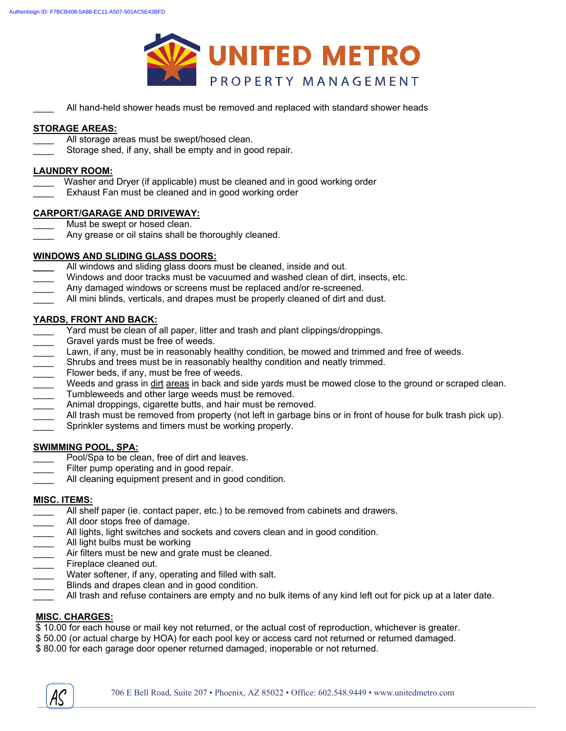

All hand-held shower heads must be removed and replaced with standard shower heads

#### **STORAGE AREAS:**

- All storage areas must be swept/hosed clean.
- Storage shed, if any, shall be empty and in good repair.

#### **LAUNDRY ROOM:**

- Washer and Dryer (if applicable) must be cleaned and in good working order
- Exhaust Fan must be cleaned and in good working order

#### **CARPORT/GARAGE AND DRIVEWAY:**

- Must be swept or hosed clean.
- Any grease or oil stains shall be thoroughly cleaned.

#### **WINDOWS AND SLIDING GLASS DOORS:**

- **\_\_\_\_** All windows and sliding glass doors must be cleaned, inside and out.
- Windows and door tracks must be vacuumed and washed clean of dirt, insects, etc.
- Any damaged windows or screens must be replaced and/or re-screened.
- All mini blinds, verticals, and drapes must be properly cleaned of dirt and dust.

#### **YARDS, FRONT AND BACK:**

- Yard must be clean of all paper, litter and trash and plant clippings/droppings.
- 
- Lawn, if any, must be in reasonably healthy condition, be mowed and trimmed and free of weeds.
- Gravel yards must be free of weeds.<br>
Lawn, if any, must be in reasonably I<br>
Shrubs and trees must be in reasona<br>
Flower beds, if any, must be free of \<br>
Weeds and grass in <u>dirt areas</u> in bac<br>
Tumbleweeds and other large w Shrubs and trees must be in reasonably healthy condition and neatly trimmed.
- Flower beds, if any, must be free of weeds.
- Weeds and grass in dirt areas in back and side yards must be mowed close to the ground or scraped clean.
- Tumbleweeds and other large weeds must be removed.
- Animal droppings, cigarette butts, and hair must be removed.
- All trash must be removed from property (not left in garbage bins or in front of house for bulk trash pick up).
- Sprinkler systems and timers must be working properly.

#### **SWIMMING POOL, SPA:**

- Pool/Spa to be clean, free of dirt and leaves.
- Filter pump operating and in good repair.
- All cleaning equipment present and in good condition.

#### **MISC. ITEMS:**

- All shelf paper (ie. contact paper, etc.) to be removed from cabinets and drawers.
- All door stops free of damage.
- All lights, light switches and sockets and covers clean and in good condition.
- All light bulbs must be working
- Air filters must be new and grate must be cleaned.
- Fireplace cleaned out.
- Water softener, if any, operating and filled with salt.
- Blinds and drapes clean and in good condition.
- All trash and refuse containers are empty and no bulk items of any kind left out for pick up at a later date.

#### **MISC. CHARGES:**

\$ 10.00 for each house or mail key not returned, or the actual cost of reproduction, whichever is greater.

- \$ 50.00 (or actual charge by HOA) for each pool key or access card not returned or returned damaged.
- \$ 80.00 for each garage door opener returned damaged, inoperable or not returned.

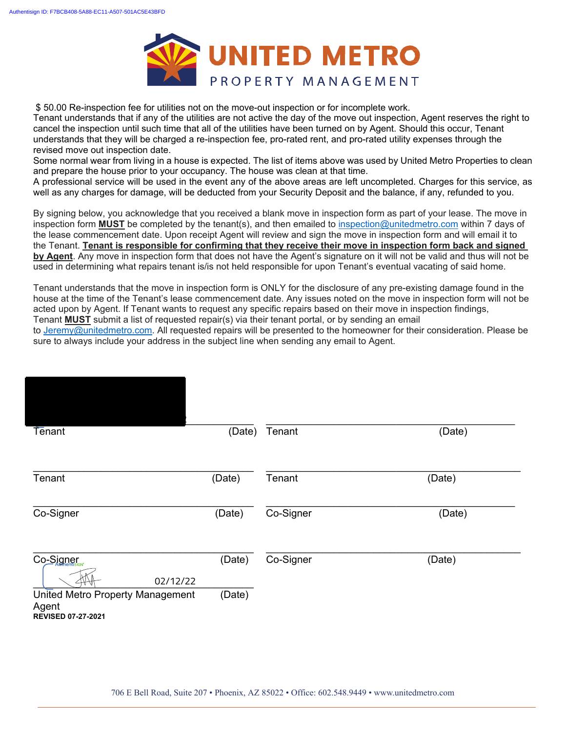

\$ 50.00 Re-inspection fee for utilities not on the move-out inspection or for incomplete work.

Tenant understands that if any of the utilities are not active the day of the move out inspection, Agent reserves the right to cancel the inspection until such time that all of the utilities have been turned on by Agent. Should this occur, Tenant understands that they will be charged a re-inspection fee, pro-rated rent, and pro-rated utility expenses through the revised move out inspection date.

Some normal wear from living in a house is expected. The list of items above was used by United Metro Properties to clean and prepare the house prior to your occupancy. The house was clean at that time.

A professional service will be used in the event any of the above areas are left uncompleted. Charges for this service, as well as any charges for damage, will be deducted from your Security Deposit and the balance, if any, refunded to you.

By signing below, you acknowledge that you received a blank move in inspection form as part of your lease. The move in inspection form **MUST** be completed by the tenant(s), and then emailed to inspection@unitedmetro.com within 7 days of the lease commencement date. Upon receipt Agent will review and sign the move in inspection form and will email it to the Tenant. **Tenant is responsible for confirming that they receive their move in inspection form back and signed by Agent**. Any move in inspection form that does not have the Agent's signature on it will not be valid and thus will not be used in determining what repairs tenant is/is not held responsible for upon Tenant's eventual vacating of said home.

Tenant understands that the move in inspection form is ONLY for the disclosure of any pre-existing damage found in the house at the time of the Tenant's lease commencement date. Any issues noted on the move in inspection form will not be acted upon by Agent. If Tenant wants to request any specific repairs based on their move in inspection findings, Tenant **MUST** submit a list of requested repair(s) via their tenant portal, or by sending an email

to Jeremy@unitedmetro.com. All requested repairs will be presented to the homeowner for their consideration. Please be sure to always include your address in the subject line when sending any email to Agent.

| Tenant                                                                 | (Date) | Tenant    | (Date) |
|------------------------------------------------------------------------|--------|-----------|--------|
| Tenant                                                                 | (Date) | Tenant    | (Date) |
| Co-Signer                                                              | (Date) | Co-Signer | (Date) |
| Co-Signer<br>02/12/22                                                  | (Date) | Co-Signer | (Date) |
| United Metro Property Management<br>Agent<br><b>REVISED 07-27-2021</b> | (Date) |           |        |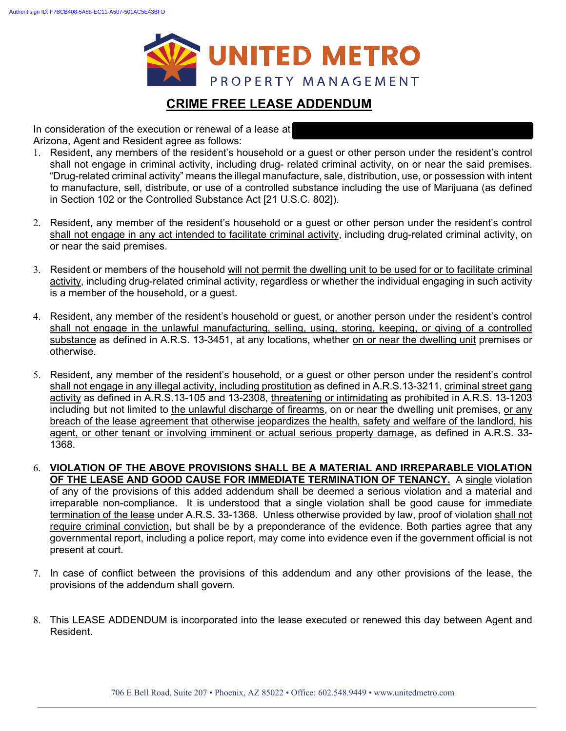

### **CRIME FREE LEASE ADDENDUM**

In consideration of the execution or renewal of a lease at Arizona, Agent and Resident agree as follows:

- 1. Resident, any members of the resident's household or a guest or other person under the resident's control shall not engage in criminal activity, including drug- related criminal activity, on or near the said premises. "Drug-related criminal activity" means the illegal manufacture, sale, distribution, use, or possession with intent to manufacture, sell, distribute, or use of a controlled substance including the use of Marijuana (as defined in Section 102 or the Controlled Substance Act [21 U.S.C. 802]).
- 2. Resident, any member of the resident's household or a guest or other person under the resident's control shall not engage in any act intended to facilitate criminal activity, including drug-related criminal activity, on or near the said premises.
- 3. Resident or members of the household will not permit the dwelling unit to be used for or to facilitate criminal activity, including drug-related criminal activity, regardless or whether the individual engaging in such activity is a member of the household, or a guest.
- 4. Resident, any member of the resident's household or guest, or another person under the resident's control shall not engage in the unlawful manufacturing, selling, using, storing, keeping, or giving of a controlled substance as defined in A.R.S. 13-3451, at any locations, whether on or near the dwelling unit premises or otherwise.
- 5. Resident, any member of the resident's household, or a guest or other person under the resident's control shall not engage in any illegal activity, including prostitution as defined in A.R.S.13-3211, criminal street gang activity as defined in A.R.S.13-105 and 13-2308, threatening or intimidating as prohibited in A.R.S. 13-1203 including but not limited to the unlawful discharge of firearms, on or near the dwelling unit premises, or any breach of the lease agreement that otherwise jeopardizes the health, safety and welfare of the landlord, his agent, or other tenant or involving imminent or actual serious property damage, as defined in A.R.S. 33- 1368.
- 6. **VIOLATION OF THE ABOVE PROVISIONS SHALL BE A MATERIAL AND IRREPARABLE VIOLATION OF THE LEASE AND GOOD CAUSE FOR IMMEDIATE TERMINATION OF TENANCY.** A single violation of any of the provisions of this added addendum shall be deemed a serious violation and a material and irreparable non-compliance. It is understood that a single violation shall be good cause for immediate termination of the lease under A.R.S. 33-1368. Unless otherwise provided by law, proof of violation shall not require criminal conviction, but shall be by a preponderance of the evidence. Both parties agree that any governmental report, including a police report, may come into evidence even if the government official is not present at court.
- 7. In case of conflict between the provisions of this addendum and any other provisions of the lease, the provisions of the addendum shall govern.
- 8. This LEASE ADDENDUM is incorporated into the lease executed or renewed this day between Agent and Resident.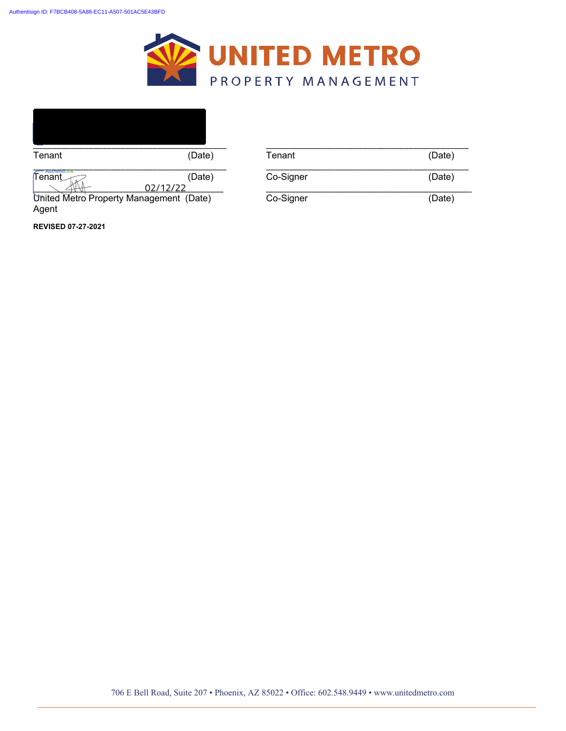



United Metro Property Management (Date) Agent

**REVISED 07-27-2021**

| Tenant                                  | (Date)   | Tenant    | (Date) |
|-----------------------------------------|----------|-----------|--------|
| <del>- Authentisiam</del>               |          |           |        |
| $\mathsf{Fenant}_{\textit{max}}$        | (Date)   | Co-Signer | (Date) |
|                                         | 02/12/22 |           |        |
| United Metro Property Management (Date) |          | Co-Signer | (Date) |
| Anant                                   |          |           |        |

706 E Bell Road, Suite 207 • Phoenix, AZ 85022 • Office: 602.548.9449 • www.unitedmetro.com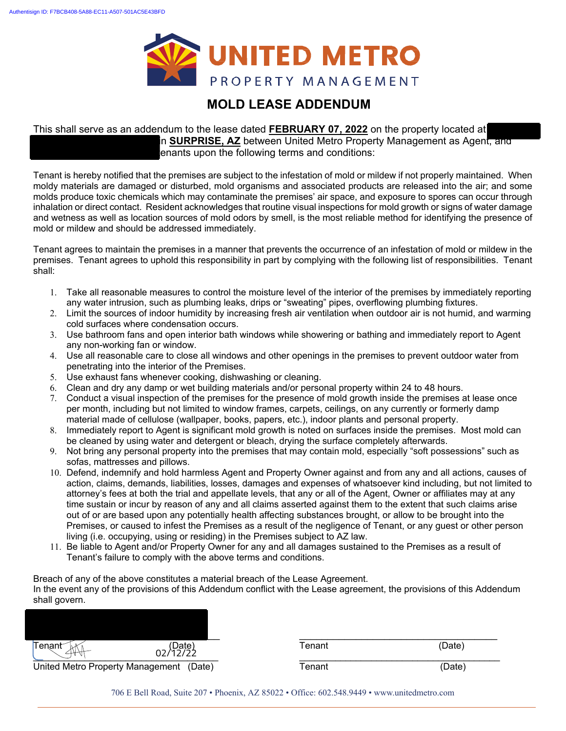

### **MOLD LEASE ADDENDUM**

#### This shall serve as an addendum to the lease dated **FEBRUARY 07, 2022** on the property located at n **SURPRISE, AZ** between United Metro Property Management as Agent, and

enants upon the following terms and conditions:

Tenant is hereby notified that the premises are subject to the infestation of mold or mildew if not properly maintained. When moldy materials are damaged or disturbed, mold organisms and associated products are released into the air; and some molds produce toxic chemicals which may contaminate the premises' air space, and exposure to spores can occur through inhalation or direct contact. Resident acknowledges that routine visual inspections for mold growth or signs of water damage and wetness as well as location sources of mold odors by smell, is the most reliable method for identifying the presence of mold or mildew and should be addressed immediately.

Tenant agrees to maintain the premises in a manner that prevents the occurrence of an infestation of mold or mildew in the premises. Tenant agrees to uphold this responsibility in part by complying with the following list of responsibilities. Tenant shall:

- 1. Take all reasonable measures to control the moisture level of the interior of the premises by immediately reporting any water intrusion, such as plumbing leaks, drips or "sweating" pipes, overflowing plumbing fixtures.
- 2. Limit the sources of indoor humidity by increasing fresh air ventilation when outdoor air is not humid, and warming cold surfaces where condensation occurs.
- 3. Use bathroom fans and open interior bath windows while showering or bathing and immediately report to Agent any non-working fan or window.
- 4. Use all reasonable care to close all windows and other openings in the premises to prevent outdoor water from penetrating into the interior of the Premises.
- 5. Use exhaust fans whenever cooking, dishwashing or cleaning.
- 6. Clean and dry any damp or wet building materials and/or personal property within 24 to 48 hours.
- 7. Conduct a visual inspection of the premises for the presence of mold growth inside the premises at lease once per month, including but not limited to window frames, carpets, ceilings, on any currently or formerly damp material made of cellulose (wallpaper, books, papers, etc.), indoor plants and personal property.
- 8. Immediately report to Agent is significant mold growth is noted on surfaces inside the premises. Most mold can be cleaned by using water and detergent or bleach, drying the surface completely afterwards.
- 9. Not bring any personal property into the premises that may contain mold, especially "soft possessions" such as sofas, mattresses and pillows.
- 10. Defend, indemnify and hold harmless Agent and Property Owner against and from any and all actions, causes of action, claims, demands, liabilities, losses, damages and expenses of whatsoever kind including, but not limited to attorney's fees at both the trial and appellate levels, that any or all of the Agent, Owner or affiliates may at any time sustain or incur by reason of any and all claims asserted against them to the extent that such claims arise out of or are based upon any potentially health affecting substances brought, or allow to be brought into the Premises, or caused to infest the Premises as a result of the negligence of Tenant, or any guest or other person living (i.e. occupying, using or residing) in the Premises subject to AZ law.
- 11. Be liable to Agent and/or Property Owner for any and all damages sustained to the Premises as a result of Tenant's failure to comply with the above terms and conditions.

Breach of any of the above constitutes a material breach of the Lease Agreement. In the event any of the provisions of this Addendum conflict with the Lease agreement, the provisions of this Addendum shall govern.

| Tenant≦                          | (Date)<br>∩2/12/22 | Tenant | (Date) |
|----------------------------------|--------------------|--------|--------|
| United Metro Property Management | (Date)             | ™enant | (Date) |

706 E Bell Road, Suite 207 • Phoenix, AZ 85022 • Office: 602.548.9449 • www.unitedmetro.com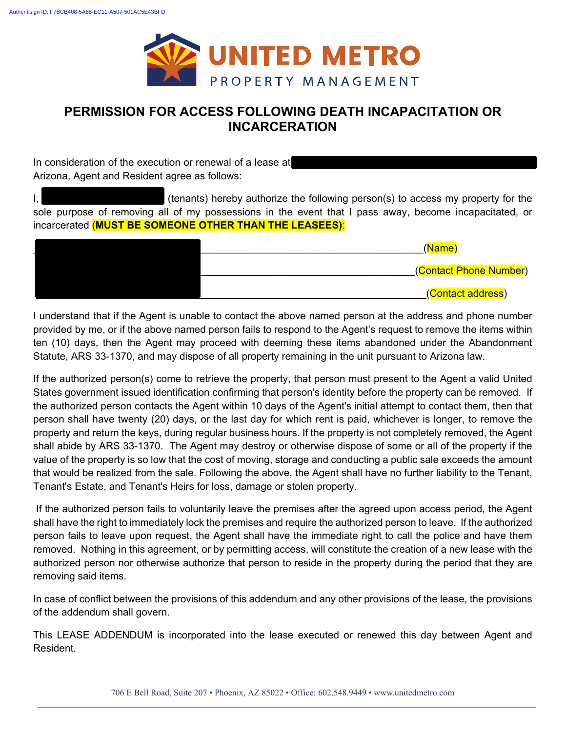

### **PERMISSION FOR ACCESS FOLLOWING DEATH INCAPACITATION OR INCARCERATION**

In consideration of the execution or renewal of a lease at Arizona, Agent and Resident agree as follows:

I, **ANNET SOREY (tenants) hereby authorize the following person(s) to access my property for the** sole purpose of removing all of my possessions in the event that I pass away, become incapacitated, or incarcerated (**MUST BE SOMEONE OTHER THAN THE LEASEES)**:

| (Name)                 |
|------------------------|
| (Contact Phone Number) |
| (Contact address)      |

I understand that if the Agent is unable to contact the above named person at the address and phone number provided by me, or if the above named person fails to respond to the Agent's request to remove the items within ten (10) days, then the Agent may proceed with deeming these items abandoned under the Abandonment Statute, ARS 33-1370, and may dispose of all property remaining in the unit pursuant to Arizona law.

If the authorized person(s) come to retrieve the property, that person must present to the Agent a valid United States government issued identification confirming that person's identity before the property can be removed. If the authorized person contacts the Agent within 10 days of the Agent's initial attempt to contact them, then that person shall have twenty (20) days, or the last day for which rent is paid, whichever is longer, to remove the property and return the keys, during regular business hours. If the property is not completely removed, the Agent shall abide by ARS 33-1370. The Agent may destroy or otherwise dispose of some or all of the property if the value of the property is so low that the cost of moving, storage and conducting a public sale exceeds the amount that would be realized from the sale. Following the above, the Agent shall have no further liability to the Tenant, Tenant's Estate, and Tenant's Heirs for loss, damage or stolen property.

 If the authorized person fails to voluntarily leave the premises after the agreed upon access period, the Agent shall have the right to immediately lock the premises and require the authorized person to leave. If the authorized person fails to leave upon request, the Agent shall have the immediate right to call the police and have them removed. Nothing in this agreement, or by permitting access, will constitute the creation of a new lease with the authorized person nor otherwise authorize that person to reside in the property during the period that they are removing said items.

In case of conflict between the provisions of this addendum and any other provisions of the lease, the provisions of the addendum shall govern.

This LEASE ADDENDUM is incorporated into the lease executed or renewed this day between Agent and Resident.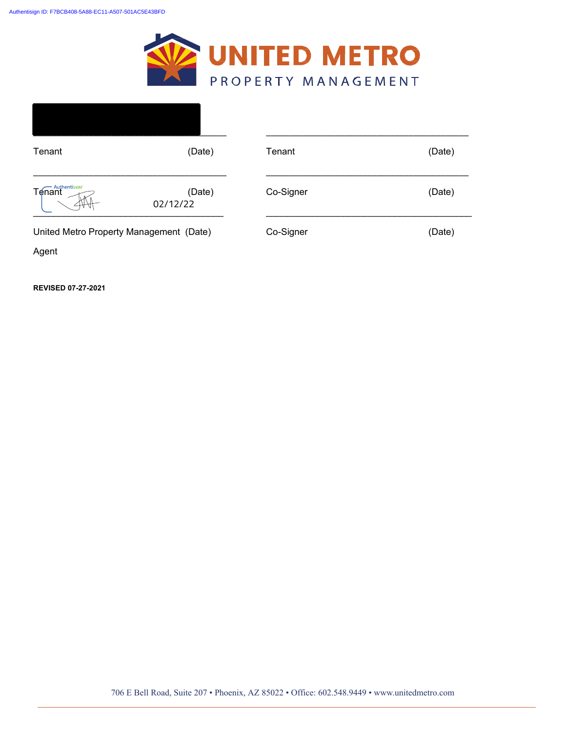

| Tenant                                  | (Date)             | Tenant    | (Date) |
|-----------------------------------------|--------------------|-----------|--------|
| Tenant                                  | (Date)<br>02/12/22 | Co-Signer | (Date) |
| United Metro Property Management (Date) |                    | Co-Signer | (Date) |
| Agent                                   |                    |           |        |

**REVISED 07-27-2021**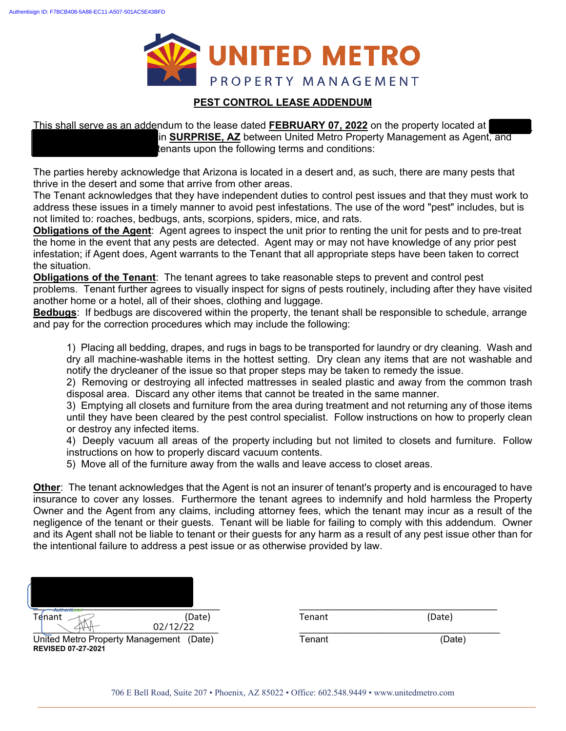

#### **PEST CONTROL LEASE ADDENDUM**

This shall serve as an addendum to the lease dated FEBRUARY 07, 2022 on the property located at | in **SURPRISE, AZ** between United Metro Property Management as Agent, and tenants upon the following terms and conditions:

The parties hereby acknowledge that Arizona is located in a desert and, as such, there are many pests that thrive in the desert and some that arrive from other areas.

The Tenant acknowledges that they have independent duties to control pest issues and that they must work to address these issues in a timely manner to avoid pest infestations. The use of the word "pest" includes, but is not limited to: roaches, bedbugs, ants, scorpions, spiders, mice, and rats.

**Obligations of the Agent**: Agent agrees to inspect the unit prior to renting the unit for pests and to pre-treat the home in the event that any pests are detected. Agent may or may not have knowledge of any prior pest infestation; if Agent does, Agent warrants to the Tenant that all appropriate steps have been taken to correct the situation.

**Obligations of the Tenant**: The tenant agrees to take reasonable steps to prevent and control pest problems. Tenant further agrees to visually inspect for signs of pests routinely, including after they have visited another home or a hotel, all of their shoes, clothing and luggage.

**Bedbugs**: If bedbugs are discovered within the property, the tenant shall be responsible to schedule, arrange and pay for the correction procedures which may include the following:

1) Placing all bedding, drapes, and rugs in bags to be transported for laundry or dry cleaning. Wash and dry all machine-washable items in the hottest setting. Dry clean any items that are not washable and notify the drycleaner of the issue so that proper steps may be taken to remedy the issue.

2) Removing or destroying all infected mattresses in sealed plastic and away from the common trash disposal area. Discard any other items that cannot be treated in the same manner.

3) Emptying all closets and furniture from the area during treatment and not returning any of those items until they have been cleared by the pest control specialist. Follow instructions on how to properly clean or destroy any infected items.

4) Deeply vacuum all areas of the property including but not limited to closets and furniture. Follow instructions on how to properly discard vacuum contents.

5) Move all of the furniture away from the walls and leave access to closet areas.

**Other**: The tenant acknowledges that the Agent is not an insurer of tenant's property and is encouraged to have insurance to cover any losses. Furthermore the tenant agrees to indemnify and hold harmless the Property Owner and the Agent from any claims, including attorney fees, which the tenant may incur as a result of the negligence of the tenant or their guests. Tenant will be liable for failing to comply with this addendum. Owner and its Agent shall not be liable to tenant or their guests for any harm as a result of any pest issue other than for the intentional failure to address a pest issue or as otherwise provided by law.

| <b>Authentisien</b><br>Tenant | (Date)        | Tenant | (Date)        |
|-------------------------------|---------------|--------|---------------|
|                               | 02/12/22      |        |               |
| . <del>.</del><br>$\sim$<br>. | $\sim$ $\sim$ | -      | $\sim$ $\sim$ |

| enant |  |
|-------|--|
|-------|--|

United Metro Property Management (Date) Tenant Tenant (Date) **REVISED 07-27-2021**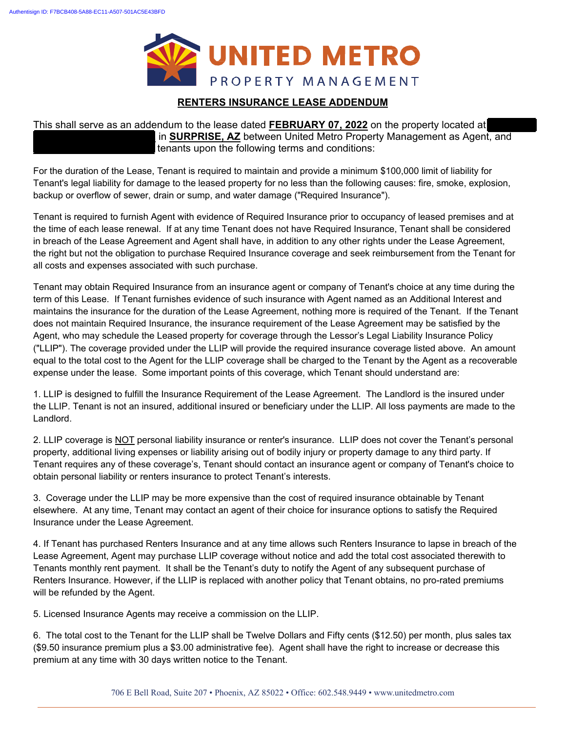

#### **RENTERS INSURANCE LEASE ADDENDUM**

This shall serve as an addendum to the lease dated **FEBRUARY 07, 2022** on the property located at in **SURPRISE, AZ** between United Metro Property Management as Agent, and tenants upon the following terms and conditions:

For the duration of the Lease, Tenant is required to maintain and provide a minimum \$100,000 limit of liability for Tenant's legal liability for damage to the leased property for no less than the following causes: fire, smoke, explosion, backup or overflow of sewer, drain or sump, and water damage ("Required Insurance").

Tenant is required to furnish Agent with evidence of Required Insurance prior to occupancy of leased premises and at the time of each lease renewal. If at any time Tenant does not have Required Insurance, Tenant shall be considered in breach of the Lease Agreement and Agent shall have, in addition to any other rights under the Lease Agreement, the right but not the obligation to purchase Required Insurance coverage and seek reimbursement from the Tenant for all costs and expenses associated with such purchase.

Tenant may obtain Required Insurance from an insurance agent or company of Tenant's choice at any time during the term of this Lease. If Tenant furnishes evidence of such insurance with Agent named as an Additional Interest and maintains the insurance for the duration of the Lease Agreement, nothing more is required of the Tenant. If the Tenant does not maintain Required Insurance, the insurance requirement of the Lease Agreement may be satisfied by the Agent, who may schedule the Leased property for coverage through the Lessor's Legal Liability Insurance Policy ("LLIP"). The coverage provided under the LLIP will provide the required insurance coverage listed above. An amount equal to the total cost to the Agent for the LLIP coverage shall be charged to the Tenant by the Agent as a recoverable expense under the lease. Some important points of this coverage, which Tenant should understand are:

1. LLIP is designed to fulfill the Insurance Requirement of the Lease Agreement. The Landlord is the insured under the LLIP. Tenant is not an insured, additional insured or beneficiary under the LLIP. All loss payments are made to the Landlord.

2. LLIP coverage is NOT personal liability insurance or renter's insurance. LLIP does not cover the Tenant's personal property, additional living expenses or liability arising out of bodily injury or property damage to any third party. If Tenant requires any of these coverage's, Tenant should contact an insurance agent or company of Tenant's choice to obtain personal liability or renters insurance to protect Tenant's interests.

3. Coverage under the LLIP may be more expensive than the cost of required insurance obtainable by Tenant elsewhere. At any time, Tenant may contact an agent of their choice for insurance options to satisfy the Required Insurance under the Lease Agreement.

4. If Tenant has purchased Renters Insurance and at any time allows such Renters Insurance to lapse in breach of the Lease Agreement, Agent may purchase LLIP coverage without notice and add the total cost associated therewith to Tenants monthly rent payment. It shall be the Tenant's duty to notify the Agent of any subsequent purchase of Renters Insurance. However, if the LLIP is replaced with another policy that Tenant obtains, no pro-rated premiums will be refunded by the Agent.

5. Licensed Insurance Agents may receive a commission on the LLIP.

6. The total cost to the Tenant for the LLIP shall be Twelve Dollars and Fifty cents (\$12.50) per month, plus sales tax (\$9.50 insurance premium plus a \$3.00 administrative fee). Agent shall have the right to increase or decrease this premium at any time with 30 days written notice to the Tenant.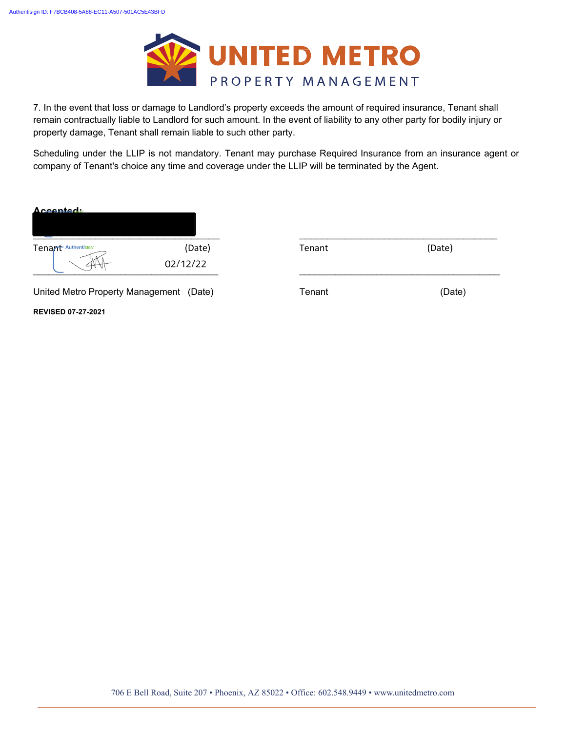

7. In the event that loss or damage to Landlord's property exceeds the amount of required insurance, Tenant shall remain contractually liable to Landlord for such amount. In the event of liability to any other party for bodily injury or property damage, Tenant shall remain liable to such other party.

Scheduling under the LLIP is not mandatory. Tenant may purchase Required Insurance from an insurance agent or company of Tenant's choice any time and coverage under the LLIP will be terminated by the Agent.

| Accontact                        |                    |        |        |
|----------------------------------|--------------------|--------|--------|
| Tenant Authentisian              | (Date)<br>02/12/22 | Tenant | (Date) |
| United Metro Property Management | (Date)             | Tenant | (Date) |
| <b>REVISED 07-27-2021</b>        |                    |        |        |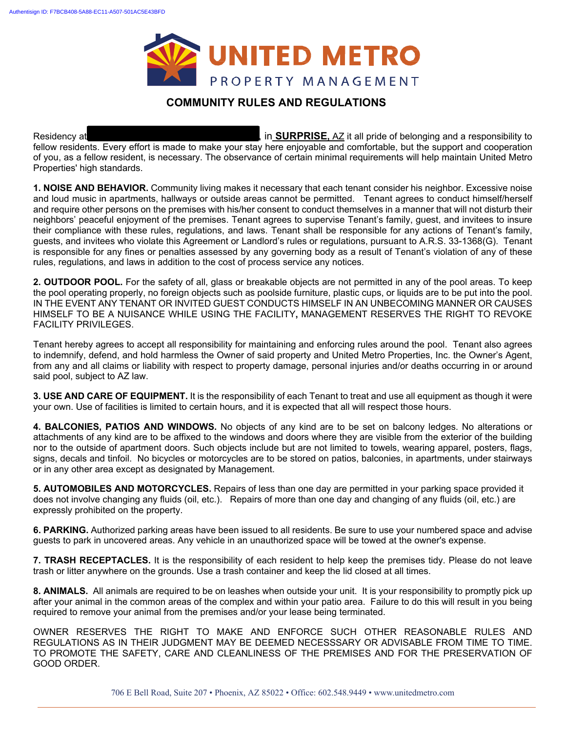

### **COMMUNITY RULES AND REGULATIONS**

Residency at **11433 W. Asset Channel Level Channel Drivers**, in **SURPRISE**, AZ it all pride of belonging and a responsibility to fellow residents. Every effort is made to make your stay here enjoyable and comfortable, but the support and cooperation of you, as a fellow resident, is necessary. The observance of certain minimal requirements will help maintain United Metro Properties' high standards.

**1. NOISE AND BEHAVIOR.** Community living makes it necessary that each tenant consider his neighbor. Excessive noise and loud music in apartments, hallways or outside areas cannot be permitted. Tenant agrees to conduct himself/herself and require other persons on the premises with his/her consent to conduct themselves in a manner that will not disturb their neighbors' peaceful enjoyment of the premises. Tenant agrees to supervise Tenant's family, guest, and invitees to insure their compliance with these rules, regulations, and laws. Tenant shall be responsible for any actions of Tenant's family, guests, and invitees who violate this Agreement or Landlord's rules or regulations, pursuant to A.R.S. 33-1368(G). Tenant is responsible for any fines or penalties assessed by any governing body as a result of Tenant's violation of any of these rules, regulations, and laws in addition to the cost of process service any notices.

**2. OUTDOOR POOL.** For the safety of all, glass or breakable objects are not permitted in any of the pool areas. To keep the pool operating properly, no foreign objects such as poolside furniture, plastic cups, or liquids are to be put into the pool. IN THE EVENT ANY TENANT OR INVITED GUEST CONDUCTS HIMSELF IN AN UNBECOMING MANNER OR CAUSES HIMSELF TO BE A NUISANCE WHILE USING THE FACILITY**,** MANAGEMENT RESERVES THE RIGHT TO REVOKE FACILITY PRIVILEGES.

Tenant hereby agrees to accept all responsibility for maintaining and enforcing rules around the pool. Tenant also agrees to indemnify, defend, and hold harmless the Owner of said property and United Metro Properties, Inc. the Owner's Agent, from any and all claims or liability with respect to property damage, personal injuries and/or deaths occurring in or around said pool, subject to AZ law.

**3. USE AND CARE OF EQUIPMENT.** It is the responsibility of each Tenant to treat and use all equipment as though it were your own. Use of facilities is limited to certain hours, and it is expected that all will respect those hours.

**4. BALCONIES, PATIOS AND WINDOWS.** No objects of any kind are to be set on balcony ledges. No alterations or attachments of any kind are to be affixed to the windows and doors where they are visible from the exterior of the building nor to the outside of apartment doors. Such objects include but are not limited to towels, wearing apparel, posters, flags, signs, decals and tinfoil. No bicycles or motorcycles are to be stored on patios, balconies, in apartments, under stairways or in any other area except as designated by Management.

**5. AUTOMOBILES AND MOTORCYCLES.** Repairs of less than one day are permitted in your parking space provided it does not involve changing any fluids (oil, etc.). Repairs of more than one day and changing of any fluids (oil, etc.) are expressly prohibited on the property.

**6. PARKING.** Authorized parking areas have been issued to all residents. Be sure to use your numbered space and advise guests to park in uncovered areas. Any vehicle in an unauthorized space will be towed at the owner's expense.

**7. TRASH RECEPTACLES.** It is the responsibility of each resident to help keep the premises tidy. Please do not leave trash or litter anywhere on the grounds. Use a trash container and keep the lid closed at all times.

**8. ANIMALS.** All animals are required to be on leashes when outside your unit. It is your responsibility to promptly pick up after your animal in the common areas of the complex and within your patio area. Failure to do this will result in you being required to remove your animal from the premises and/or your lease being terminated.

OWNER RESERVES THE RIGHT TO MAKE AND ENFORCE SUCH OTHER REASONABLE RULES AND REGULATIONS AS IN THEIR JUDGMENT MAY BE DEEMED NECESSSARY OR ADVISABLE FROM TIME TO TIME. TO PROMOTE THE SAFETY, CARE AND CLEANLINESS OF THE PREMISES AND FOR THE PRESERVATION OF GOOD ORDER.

706 E Bell Road, Suite 207 • Phoenix, AZ 85022 • Office: 602.548.9449 • www.unitedmetro.com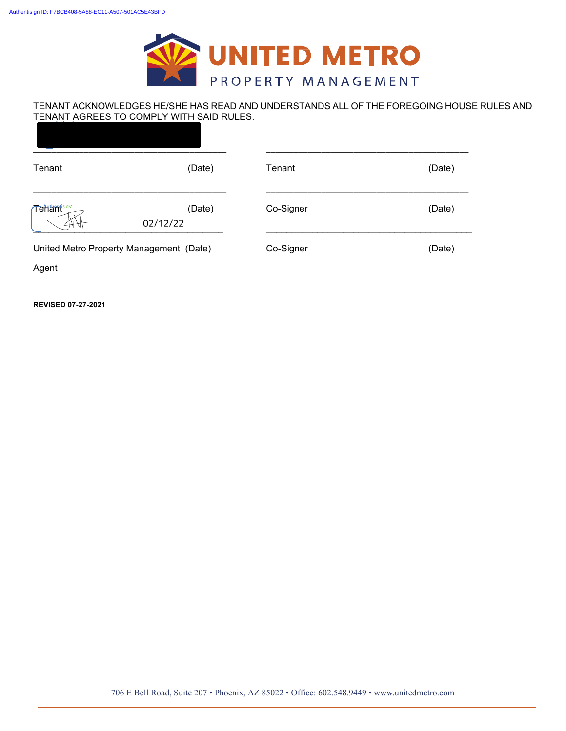

#### TENANT ACKNOWLEDGES HE/SHE HAS READ AND UNDERSTANDS ALL OF THE FOREGOING HOUSE RULES AND TENANT AGREES TO COMPLY WITH SAID RULES.

| Tenant     | (Date)                                  | Tenant    | (Date) |
|------------|-----------------------------------------|-----------|--------|
| Temamision | (Date)<br>02/12/22                      | Co-Signer | (Date) |
|            | United Metro Property Management (Date) | Co-Signer | (Date) |

Agent

**REVISED 07-27-2021**